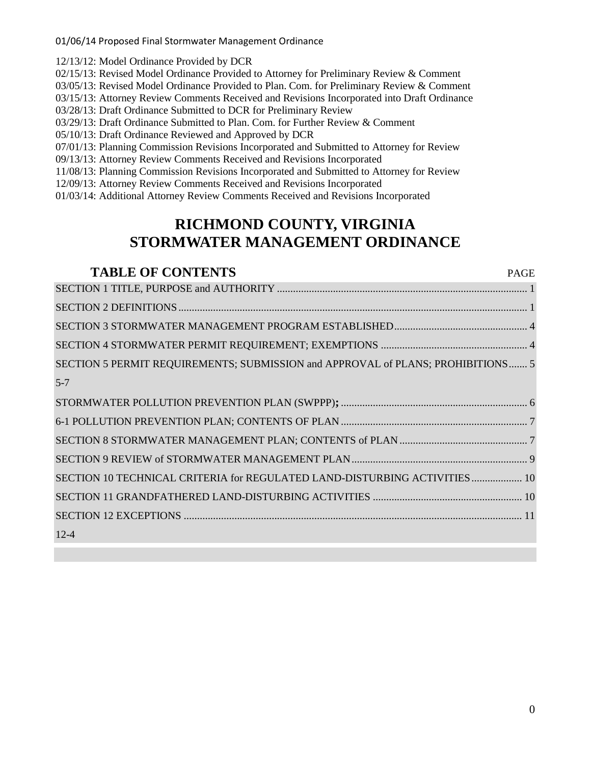01/06/14 Proposed Final Stormwater Management Ordinance

12/13/12: Model Ordinance Provided by DCR

02/15/13: Revised Model Ordinance Provided to Attorney for Preliminary Review & Comment

03/05/13: Revised Model Ordinance Provided to Plan. Com. for Preliminary Review & Comment

03/15/13: Attorney Review Comments Received and Revisions Incorporated into Draft Ordinance

03/28/13: Draft Ordinance Submitted to DCR for Preliminary Review

03/29/13: Draft Ordinance Submitted to Plan. Com. for Further Review & Comment

05/10/13: Draft Ordinance Reviewed and Approved by DCR

07/01/13: Planning Commission Revisions Incorporated and Submitted to Attorney for Review

09/13/13: Attorney Review Comments Received and Revisions Incorporated

11/08/13: Planning Commission Revisions Incorporated and Submitted to Attorney for Review

12/09/13: Attorney Review Comments Received and Revisions Incorporated

01/03/14: Additional Attorney Review Comments Received and Revisions Incorporated

# **RICHMOND COUNTY, VIRGINIA STORMWATER MANAGEMENT ORDINANCE**

# **TABLE OF CONTENTS** PAGE [SECTION 1](#page-3-0) [TITLE, PURPOSE and AUTHORITY](#page-3-0) .............................................................................................. [1](#page-3-0) [SECTION 2](#page-3-1) [DEFINITIONS.](#page-3-1).................................................................................................................................. [1](#page-3-1) [SECTION 3](#page-6-0) [STORMWATER MANAGEMENT PROGRAM ESTABLISHED.](#page-6-0)................................................. [4](#page-6-0) [SECTION 4](#page-6-1) STORMWATER [PERMIT REQUIREMENT; EXEMPTIONS](#page-6-1) ....................................................... [4](#page-6-1) [SECTION 5](#page-7-0) [PERMIT REQUIREMENTS; SUBMISSION and APPROVAL of PLANS; PROHIBITIONS.](#page-7-0)...... [5](#page-7-0) [5-7](#page-8-0) [STORMWATER POLLUTION PREVENTION PLAN \(SWPPP\)](#page-8-0)**;**...................................................................... [6](#page-8-0) [6-1](#page-9-0) [POLLUTION PREVENTION PLAN; CONTENTS OF PLAN](#page-9-0) ...................................................................... [7](#page-9-0) [SECTION 8](#page-9-1) [STORMWATER MANAGEMENT PLAN; CONTENTS of PLAN](#page-9-1) ................................................ [7](#page-9-1) [SECTION 9](#page-11-0) [REVIEW of STORMWATER MANAGEMENT PLAN.](#page-11-0)................................................................. [9](#page-11-0) [SECTION 10](#page-12-0) [TECHNICAL CRITERIA for REGULATED LAND-DISTURBING ACTIVITIES.](#page-12-0).................. [10](#page-12-0) [SECTION 11](#page-12-1) [GRANDFATHERED LAND-DISTURBING ACTIVITIES](#page-12-1) ........................................................ [10](#page-12-1)

[SECTION 12](#page-13-0) [EXCEPTIONS](#page-13-0) ............................................................................................................................... [11](#page-13-0) [12-4](#page-13-1)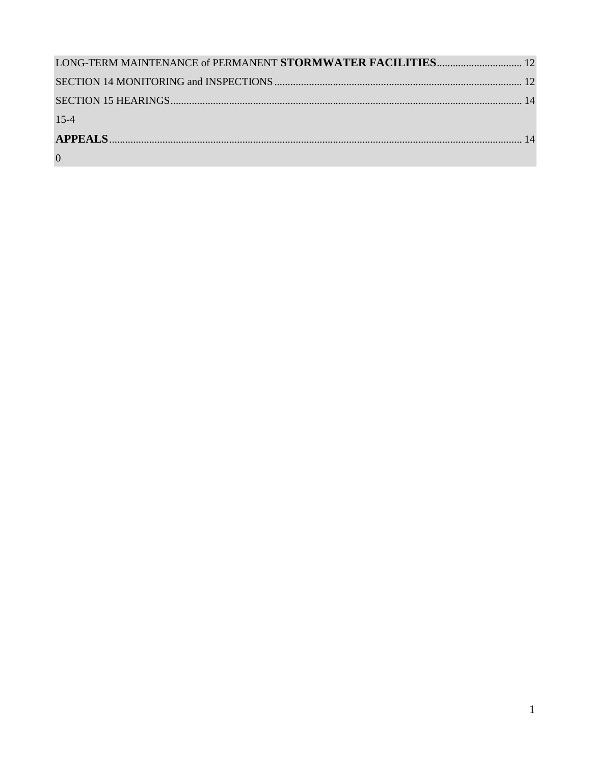| LONG-TERM MAINTENANCE of PERMANENT STORMWATER FACILITIES 12 |  |
|-------------------------------------------------------------|--|
|                                                             |  |
|                                                             |  |
| $15 - 4$                                                    |  |
|                                                             |  |
| $\overline{0}$                                              |  |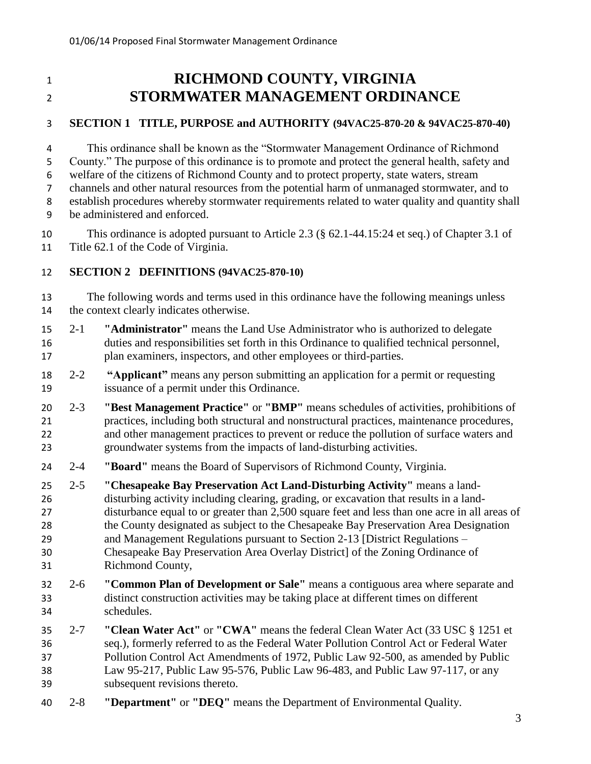## **RICHMOND COUNTY, VIRGINIA STORMWATER MANAGEMENT ORDINANCE**

### <span id="page-3-0"></span>**SECTION 1 TITLE, PURPOSE and AUTHORITY (94VAC25-870-20 & 94VAC25-870-40)**

 This ordinance shall be known as the "Stormwater Management Ordinance of Richmond County." The purpose of this ordinance is to promote and protect the general health, safety and welfare of the citizens of Richmond County and to protect property, state waters, stream channels and other natural resources from the potential harm of unmanaged stormwater, and to establish procedures whereby stormwater requirements related to water quality and quantity shall be administered and enforced.

 This ordinance is adopted pursuant to Article 2.3 (§ 62.1-44.15:24 et seq.) of Chapter 3.1 of Title 62.1 of the Code of Virginia.

#### <span id="page-3-1"></span>**SECTION 2 DEFINITIONS (94VAC25-870-10)**

 The following words and terms used in this ordinance have the following meanings unless the context clearly indicates otherwise.

- 2-1 **"Administrator"** means the Land Use Administrator who is authorized to delegate duties and responsibilities set forth in this Ordinance to qualified technical personnel, plan examiners, inspectors, and other employees or third-parties.
- 2-2 **"Applicant"** means any person submitting an application for a permit or requesting issuance of a permit under this Ordinance.
- 2-3 **"Best Management Practice"** or **"BMP"** means schedules of activities, prohibitions of practices, including both structural and nonstructural practices, maintenance procedures, and other management practices to prevent or reduce the pollution of surface waters and groundwater systems from the impacts of land-disturbing activities.
- 2-4 **"Board"** means the Board of Supervisors of Richmond County, Virginia.
- 2-5 **"Chesapeake Bay Preservation Act Land-Disturbing Activity"** means a land- disturbing activity including clearing, grading, or excavation that results in a land- disturbance equal to or greater than 2,500 square feet and less than one acre in all areas of the County designated as subject to the Chesapeake Bay Preservation Area Designation and Management Regulations pursuant to Section 2-13 [District Regulations – Chesapeake Bay Preservation Area Overlay District] of the Zoning Ordinance of Richmond County,
- 2-6 **"Common Plan of Development or Sale"** means a contiguous area where separate and distinct construction activities may be taking place at different times on different schedules.
- 2-7 **"Clean Water Act"** or **"CWA"** means the federal Clean Water Act (33 USC § 1251 et seq.), formerly referred to as the Federal Water Pollution Control Act or Federal Water Pollution Control Act Amendments of 1972, Public Law 92-500, as amended by Public Law 95-217, Public Law 95-576, Public Law 96-483, and Public Law 97-117, or any subsequent revisions thereto.
- 2-8 **"Department"** or **"DEQ"** means the Department of Environmental Quality.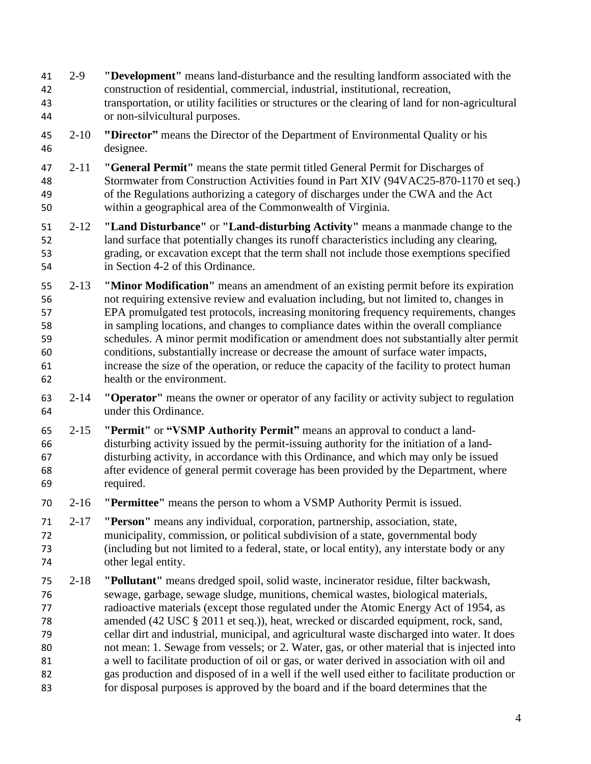- 2-9 **"Development"** means land-disturbance and the resulting landform associated with the construction of residential, commercial, industrial, institutional, recreation, transportation, or utility facilities or structures or the clearing of land for non-agricultural or non-silvicultural purposes.
- 2-10 **"Director"** means the Director of the Department of Environmental Quality or his designee.
- 2-11 **"General Permit"** means the state permit titled General Permit for Discharges of Stormwater from Construction Activities found in Part XIV (94VAC25-870-1170 et seq.) of the Regulations authorizing a category of discharges under the CWA and the Act within a geographical area of the Commonwealth of Virginia.
- 2-12 **"Land Disturbance"** or **"Land-disturbing Activity"** means a manmade change to the land surface that potentially changes its runoff characteristics including any clearing, grading, or excavation except that the term shall not include those exemptions specified in Section 4-2 of this Ordinance.
- 2-13 **"Minor Modification"** means an amendment of an existing permit before its expiration not requiring extensive review and evaluation including, but not limited to, changes in EPA promulgated test protocols, increasing monitoring frequency requirements, changes in sampling locations, and changes to compliance dates within the overall compliance schedules. A minor permit modification or amendment does not substantially alter permit conditions, substantially increase or decrease the amount of surface water impacts, increase the size of the operation, or reduce the capacity of the facility to protect human health or the environment.
- 2-14 **"Operator"** means the owner or operator of any facility or activity subject to regulation under this Ordinance.
- 2-15 **"Permit"** or **"VSMP Authority Permit"** means an approval to conduct a land- disturbing activity issued by the permit-issuing authority for the initiation of a land- disturbing activity, in accordance with this Ordinance, and which may only be issued after evidence of general permit coverage has been provided by the Department, where required.
- 2-16 **"Permittee"** means the person to whom a VSMP Authority Permit is issued.
- 2-17 **"Person"** means any individual, corporation, partnership, association, state, municipality, commission, or political subdivision of a state, governmental body (including but not limited to a federal, state, or local entity), any interstate body or any other legal entity.
- 2-18 **"Pollutant"** means dredged spoil, solid waste, incinerator residue, filter backwash, sewage, garbage, sewage sludge, munitions, chemical wastes, biological materials, radioactive materials (except those regulated under the Atomic Energy Act of 1954, as amended (42 USC § 2011 et seq.)), heat, wrecked or discarded equipment, rock, sand, cellar dirt and industrial, municipal, and agricultural waste discharged into water. It does not mean: 1. Sewage from vessels; or 2. Water, gas, or other material that is injected into a well to facilitate production of oil or gas, or water derived in association with oil and gas production and disposed of in a well if the well used either to facilitate production or for disposal purposes is approved by the board and if the board determines that the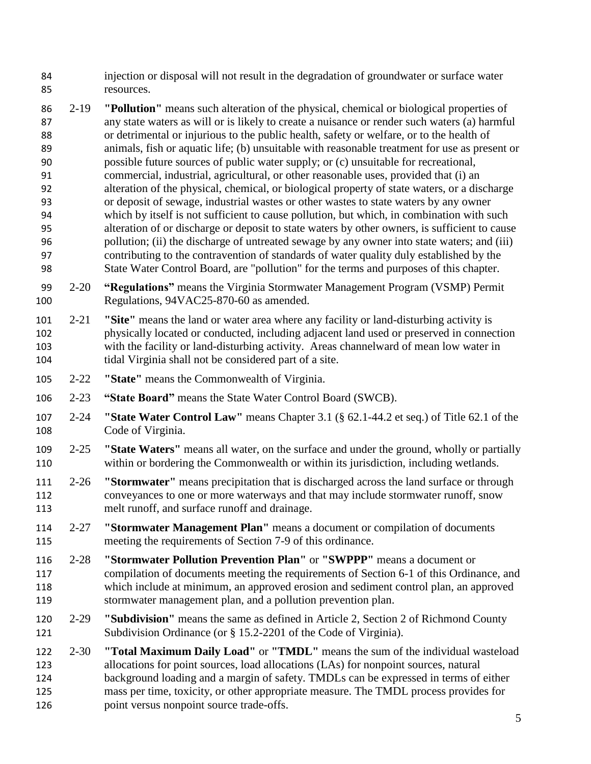injection or disposal will not result in the degradation of groundwater or surface water resources.

- 2-19 **"Pollution"** means such alteration of the physical, chemical or biological properties of any state waters as will or is likely to create a nuisance or render such waters (a) harmful or detrimental or injurious to the public health, safety or welfare, or to the health of animals, fish or aquatic life; (b) unsuitable with reasonable treatment for use as present or possible future sources of public water supply; or (c) unsuitable for recreational, commercial, industrial, agricultural, or other reasonable uses, provided that (i) an alteration of the physical, chemical, or biological property of state waters, or a discharge or deposit of sewage, industrial wastes or other wastes to state waters by any owner which by itself is not sufficient to cause pollution, but which, in combination with such alteration of or discharge or deposit to state waters by other owners, is sufficient to cause pollution; (ii) the discharge of untreated sewage by any owner into state waters; and (iii) contributing to the contravention of standards of water quality duly established by the State Water Control Board, are "pollution" for the terms and purposes of this chapter.
- 2-20 **"Regulations"** means the Virginia Stormwater Management Program (VSMP) Permit Regulations, 94VAC25-870-60 as amended.
- 2-21 **"Site"** means the land or water area where any facility or land-disturbing activity is physically located or conducted, including adjacent land used or preserved in connection with the facility or land-disturbing activity. Areas channelward of mean low water in tidal Virginia shall not be considered part of a site.
- 2-22 **"State"** means the Commonwealth of Virginia.
- 2-23 **"State Board"** means the State Water Control Board (SWCB).
- 2-24 **"State Water Control Law"** means Chapter 3.1 (§ 62.1-44.2 et seq.) of Title 62.1 of the Code of Virginia.
- 2-25 **"State Waters"** means all water, on the surface and under the ground, wholly or partially within or bordering the Commonwealth or within its jurisdiction, including wetlands.
- 2-26 **"Stormwater"** means precipitation that is discharged across the land surface or through conveyances to one or more waterways and that may include stormwater runoff, snow melt runoff, and surface runoff and drainage.
- 2-27 **"Stormwater Management Plan"** means a document or compilation of documents meeting the requirements of Section 7-9 of this ordinance.
- 2-28 **"Stormwater Pollution Prevention Plan"** or **"SWPPP"** means a document or compilation of documents meeting the requirements of Section 6-1 of this Ordinance, and which include at minimum, an approved erosion and sediment control plan, an approved stormwater management plan, and a pollution prevention plan.
- 2-29 **"Subdivision"** means the same as defined in Article 2, Section 2 of Richmond County 121 Subdivision Ordinance (or § 15.2-2201 of the Code of Virginia).
- 2-30 **"Total Maximum Daily Load"** or **"TMDL"** means the sum of the individual wasteload allocations for point sources, load allocations (LAs) for nonpoint sources, natural background loading and a margin of safety. TMDLs can be expressed in terms of either mass per time, toxicity, or other appropriate measure. The TMDL process provides for 126 point versus nonpoint source trade-offs.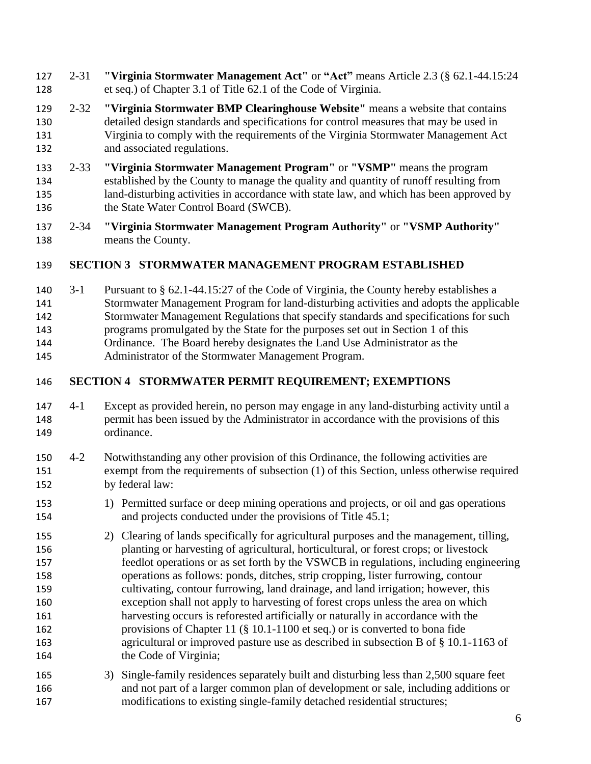- 2-31 **"Virginia Stormwater Management Act"** or **"Act"** means Article 2.3 (§ 62.1-44.15:24 et seq.) of Chapter 3.1 of Title 62.1 of the Code of Virginia.
- 2-32 **"Virginia Stormwater BMP Clearinghouse Website"** means a website that contains detailed design standards and specifications for control measures that may be used in Virginia to comply with the requirements of the Virginia Stormwater Management Act and associated regulations.
- 2-33 **"Virginia Stormwater Management Program"** or **"VSMP"** means the program established by the County to manage the quality and quantity of runoff resulting from land-disturbing activities in accordance with state law, and which has been approved by 136 the State Water Control Board (SWCB).
- 2-34 **"Virginia Stormwater Management Program Authority"** or **"VSMP Authority"** means the County.

## <span id="page-6-0"></span>**SECTION 3 STORMWATER MANAGEMENT PROGRAM ESTABLISHED**

- 3-1 Pursuant to § 62.1-44.15:27 of the Code of Virginia, the County hereby establishes a
- Stormwater Management Program for land-disturbing activities and adopts the applicable
- Stormwater Management Regulations that specify standards and specifications for such
- programs promulgated by the State for the purposes set out in Section 1 of this
- Ordinance. The Board hereby designates the Land Use Administrator as the
- Administrator of the Stormwater Management Program.

## <span id="page-6-1"></span>**SECTION 4 STORMWATER PERMIT REQUIREMENT; EXEMPTIONS**

- 4-1 Except as provided herein, no person may engage in any land-disturbing activity until a permit has been issued by the Administrator in accordance with the provisions of this ordinance.
- 4-2 Notwithstanding any other provision of this Ordinance, the following activities are exempt from the requirements of subsection (1) of this Section, unless otherwise required by federal law:
- 1) Permitted surface or deep mining operations and projects, or oil and gas operations and projects conducted under the provisions of Title 45.1;
- 2) Clearing of lands specifically for agricultural purposes and the management, tilling, planting or harvesting of agricultural, horticultural, or forest crops; or livestock feedlot operations or as set forth by the VSWCB in regulations, including engineering operations as follows: ponds, ditches, strip cropping, lister furrowing, contour cultivating, contour furrowing, land drainage, and land irrigation; however, this exception shall not apply to harvesting of forest crops unless the area on which harvesting occurs is reforested artificially or naturally in accordance with the provisions of Chapter 11 (§ 10.1-1100 et seq.) or is converted to bona fide agricultural or improved pasture use as described in subsection B of § 10.1-1163 of 164 the Code of Virginia;
- 3) Single-family residences separately built and disturbing less than 2,500 square feet and not part of a larger common plan of development or sale, including additions or modifications to existing single-family detached residential structures;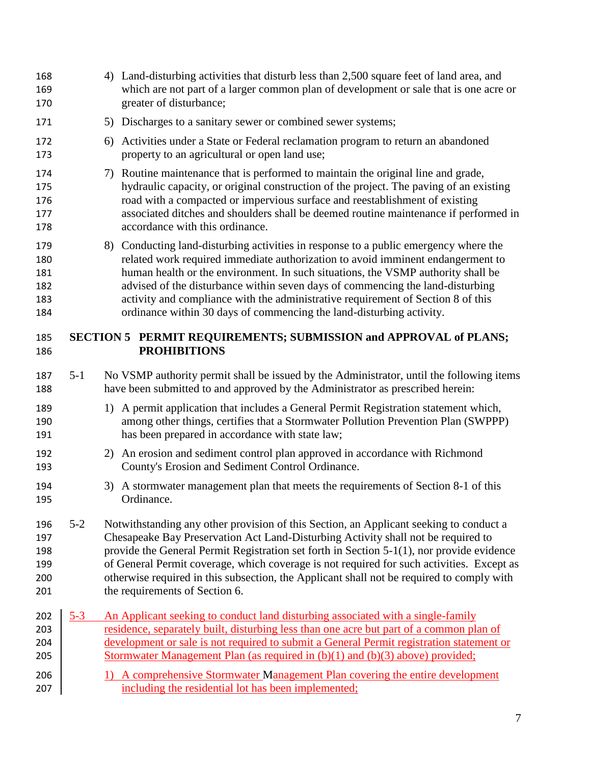<span id="page-7-0"></span>

| 168<br>169<br>170                      |         | 4) Land-disturbing activities that disturb less than 2,500 square feet of land area, and<br>which are not part of a larger common plan of development or sale that is one acre or<br>greater of disturbance;                                                                                                                                                                                                                                                                                              |
|----------------------------------------|---------|-----------------------------------------------------------------------------------------------------------------------------------------------------------------------------------------------------------------------------------------------------------------------------------------------------------------------------------------------------------------------------------------------------------------------------------------------------------------------------------------------------------|
| 171                                    |         | 5) Discharges to a sanitary sewer or combined sewer systems;                                                                                                                                                                                                                                                                                                                                                                                                                                              |
| 172<br>173                             |         | 6) Activities under a State or Federal reclamation program to return an abandoned<br>property to an agricultural or open land use;                                                                                                                                                                                                                                                                                                                                                                        |
| 174<br>175<br>176<br>177<br>178        |         | 7) Routine maintenance that is performed to maintain the original line and grade,<br>hydraulic capacity, or original construction of the project. The paving of an existing<br>road with a compacted or impervious surface and reestablishment of existing<br>associated ditches and shoulders shall be deemed routine maintenance if performed in<br>accordance with this ordinance.                                                                                                                     |
| 179<br>180<br>181<br>182<br>183<br>184 |         | 8) Conducting land-disturbing activities in response to a public emergency where the<br>related work required immediate authorization to avoid imminent endangerment to<br>human health or the environment. In such situations, the VSMP authority shall be<br>advised of the disturbance within seven days of commencing the land-disturbing<br>activity and compliance with the administrative requirement of Section 8 of this<br>ordinance within 30 days of commencing the land-disturbing activity. |
| 185<br>186                             |         | SECTION 5 PERMIT REQUIREMENTS; SUBMISSION and APPROVAL of PLANS;<br><b>PROHIBITIONS</b>                                                                                                                                                                                                                                                                                                                                                                                                                   |
| 187<br>188                             | $5 - 1$ | No VSMP authority permit shall be issued by the Administrator, until the following items<br>have been submitted to and approved by the Administrator as prescribed herein:                                                                                                                                                                                                                                                                                                                                |
| 189<br>190<br>191                      |         | 1) A permit application that includes a General Permit Registration statement which,<br>among other things, certifies that a Stormwater Pollution Prevention Plan (SWPPP)<br>has been prepared in accordance with state law;                                                                                                                                                                                                                                                                              |
| 192<br>193                             |         | 2) An erosion and sediment control plan approved in accordance with Richmond<br>County's Erosion and Sediment Control Ordinance.                                                                                                                                                                                                                                                                                                                                                                          |
| 194<br>195                             |         | 3) A stormwater management plan that meets the requirements of Section 8-1 of this<br>Ordinance.                                                                                                                                                                                                                                                                                                                                                                                                          |
| 196<br>197<br>198<br>199<br>200<br>201 | $5 - 2$ | Notwithstanding any other provision of this Section, an Applicant seeking to conduct a<br>Chesapeake Bay Preservation Act Land-Disturbing Activity shall not be required to<br>provide the General Permit Registration set forth in Section 5-1(1), nor provide evidence<br>of General Permit coverage, which coverage is not required for such activities. Except as<br>otherwise required in this subsection, the Applicant shall not be required to comply with<br>the requirements of Section 6.      |
| 202<br>203<br>204<br>205               | $5 - 3$ | An Applicant seeking to conduct land disturbing associated with a single-family<br>residence, separately built, disturbing less than one acre but part of a common plan of<br>development or sale is not required to submit a General Permit registration statement or<br>Stormwater Management Plan (as required in (b)(1) and (b)(3) above) provided;                                                                                                                                                   |
| 206<br>207                             |         | A comprehensive Stormwater Management Plan covering the entire development<br>$\Gamma$<br>including the residential lot has been implemented;                                                                                                                                                                                                                                                                                                                                                             |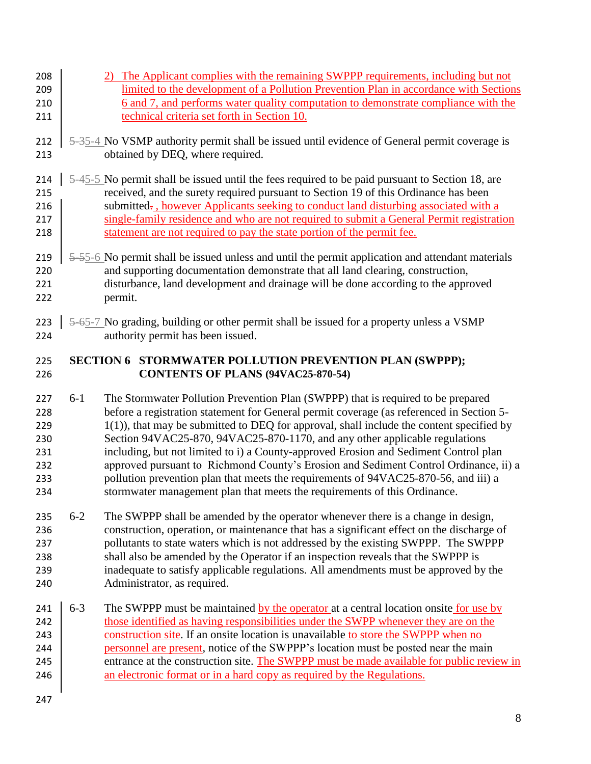- 2) The Applicant complies with the remaining SWPPP requirements, including but not limited to the development of a Pollution Prevention Plan in accordance with Sections 210 6 and 7, and performs water quality computation to demonstrate compliance with the technical criteria set forth in Section 10.
- 212  $\frac{1}{2}$   $\frac{1}{2}$   $\frac{1}{2}$   $\frac{1}{2}$  No VSMP authority permit shall be issued until evidence of General permit coverage is 213 obtained by DEQ, where required.
- 214  $\frac{1}{2}$  5-45-5 No permit shall be issued until the fees required to be paid pursuant to Section 18, are received, and the surety required pursuant to Section 19 of this Ordinance has been 216 submitted. Submitted. A submitted as the Muslim seeking to conduct land disturbing associated with a 217 single-family residence and who are not required to submit a General Permit registration 218 statement are not required to pay the state portion of the permit fee.
- 219  $\frac{1}{2}$  5-55-6 No permit shall be issued unless and until the permit application and attendant materials and supporting documentation demonstrate that all land clearing, construction, disturbance, land development and drainage will be done according to the approved permit.
- <span id="page-8-0"></span>223  $\frac{1}{2}$  5-65-7 No grading, building or other permit shall be issued for a property unless a VSMP authority permit has been issued.

#### **SECTION 6 STORMWATER POLLUTION PREVENTION PLAN (SWPPP); CONTENTS OF PLANS (94VAC25-870-54)**

- 6-1 The Stormwater Pollution Prevention Plan (SWPPP) that is required to be prepared before a registration statement for General permit coverage (as referenced in Section 5-  $1(1)$ , that may be submitted to DEQ for approval, shall include the content specified by Section 94VAC25-870, 94VAC25-870-1170, and any other applicable regulations including, but not limited to i) a County-approved Erosion and Sediment Control plan approved pursuant to Richmond County's Erosion and Sediment Control Ordinance, ii) a pollution prevention plan that meets the requirements of 94VAC25-870-56, and iii) a stormwater management plan that meets the requirements of this Ordinance.
- 235 6-2 The SWPPP shall be amended by the operator whenever there is a change in design, construction, operation, or maintenance that has a significant effect on the discharge of pollutants to state waters which is not addressed by the existing SWPPP. The SWPPP shall also be amended by the Operator if an inspection reveals that the SWPPP is inadequate to satisfy applicable regulations. All amendments must be approved by the Administrator, as required.
- 241  $\mid$  6-3 The SWPPP must be maintained by the operator at a central location onsite for use by 242 those identified as having responsibilities under the SWPP whenever they are on the 243 construction site. If an onsite location is unavailable to store the SWPPP when no **personnel are present, notice of the SWPPP**'s location must be posted near the main 245 entrance at the construction site. The SWPPP must be made available for public review in 246 an electronic format or in a hard copy as required by the Regulations.
-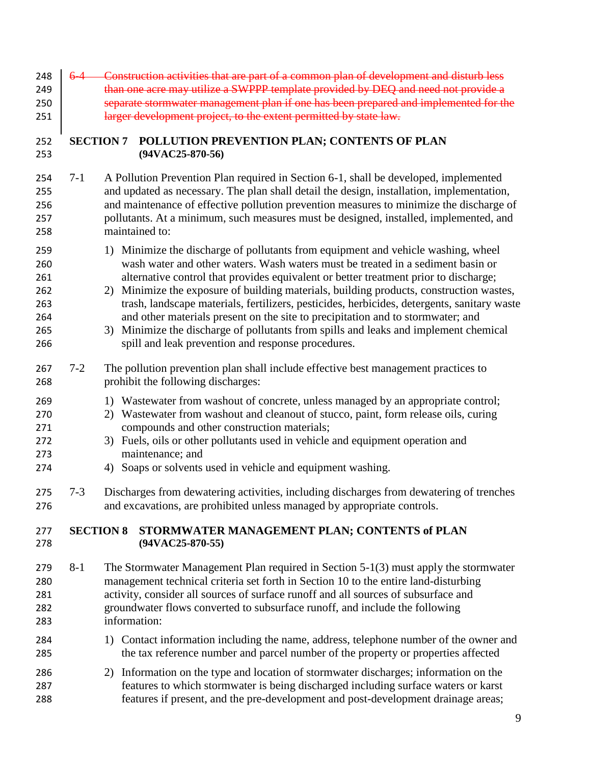<span id="page-9-1"></span><span id="page-9-0"></span>

| 248<br>249<br>250<br>251                             | $6-4$            | Construction activities that are part of a common plan of development and disturb less<br>than one acre may utilize a SWPPP template provided by DEQ and need not provide a<br>separate stormwater management plan if one has been prepared and implemented for the<br>larger development project, to the extent permitted by state law.                                                                                                                                                                                                                                                                                                                                                |
|------------------------------------------------------|------------------|-----------------------------------------------------------------------------------------------------------------------------------------------------------------------------------------------------------------------------------------------------------------------------------------------------------------------------------------------------------------------------------------------------------------------------------------------------------------------------------------------------------------------------------------------------------------------------------------------------------------------------------------------------------------------------------------|
| 252<br>253                                           | <b>SECTION 7</b> | POLLUTION PREVENTION PLAN; CONTENTS OF PLAN<br>$(94VAC25-870-56)$                                                                                                                                                                                                                                                                                                                                                                                                                                                                                                                                                                                                                       |
| 254<br>255<br>256<br>257<br>258                      | $7 - 1$          | A Pollution Prevention Plan required in Section 6-1, shall be developed, implemented<br>and updated as necessary. The plan shall detail the design, installation, implementation,<br>and maintenance of effective pollution prevention measures to minimize the discharge of<br>pollutants. At a minimum, such measures must be designed, installed, implemented, and<br>maintained to:                                                                                                                                                                                                                                                                                                 |
| 259<br>260<br>261<br>262<br>263<br>264<br>265<br>266 |                  | 1) Minimize the discharge of pollutants from equipment and vehicle washing, wheel<br>wash water and other waters. Wash waters must be treated in a sediment basin or<br>alternative control that provides equivalent or better treatment prior to discharge;<br>2) Minimize the exposure of building materials, building products, construction wastes,<br>trash, landscape materials, fertilizers, pesticides, herbicides, detergents, sanitary waste<br>and other materials present on the site to precipitation and to stormwater; and<br>3) Minimize the discharge of pollutants from spills and leaks and implement chemical<br>spill and leak prevention and response procedures. |
| 267<br>268<br>269<br>270<br>271<br>272<br>273<br>274 | $7 - 2$          | The pollution prevention plan shall include effective best management practices to<br>prohibit the following discharges:<br>1) Wastewater from washout of concrete, unless managed by an appropriate control;<br>2) Wastewater from washout and cleanout of stucco, paint, form release oils, curing<br>compounds and other construction materials;<br>3) Fuels, oils or other pollutants used in vehicle and equipment operation and<br>maintenance; and<br>4) Soaps or solvents used in vehicle and equipment washing.                                                                                                                                                                |
| 275<br>276                                           | $7 - 3$          | Discharges from dewatering activities, including discharges from dewatering of trenches<br>and excavations, are prohibited unless managed by appropriate controls.                                                                                                                                                                                                                                                                                                                                                                                                                                                                                                                      |
| 277<br>278                                           | <b>SECTION 8</b> | STORMWATER MANAGEMENT PLAN; CONTENTS of PLAN<br>$(94VAC25-870-55)$                                                                                                                                                                                                                                                                                                                                                                                                                                                                                                                                                                                                                      |
| 279<br>280<br>281<br>282<br>283                      | $8-1$            | The Stormwater Management Plan required in Section $5-1(3)$ must apply the stormwater<br>management technical criteria set forth in Section 10 to the entire land-disturbing<br>activity, consider all sources of surface runoff and all sources of subsurface and<br>groundwater flows converted to subsurface runoff, and include the following<br>information:                                                                                                                                                                                                                                                                                                                       |
| 284<br>285                                           |                  | 1) Contact information including the name, address, telephone number of the owner and<br>the tax reference number and parcel number of the property or properties affected                                                                                                                                                                                                                                                                                                                                                                                                                                                                                                              |
| 286<br>287<br>288                                    |                  | 2) Information on the type and location of stormwater discharges; information on the<br>features to which stormwater is being discharged including surface waters or karst<br>features if present, and the pre-development and post-development drainage areas;                                                                                                                                                                                                                                                                                                                                                                                                                         |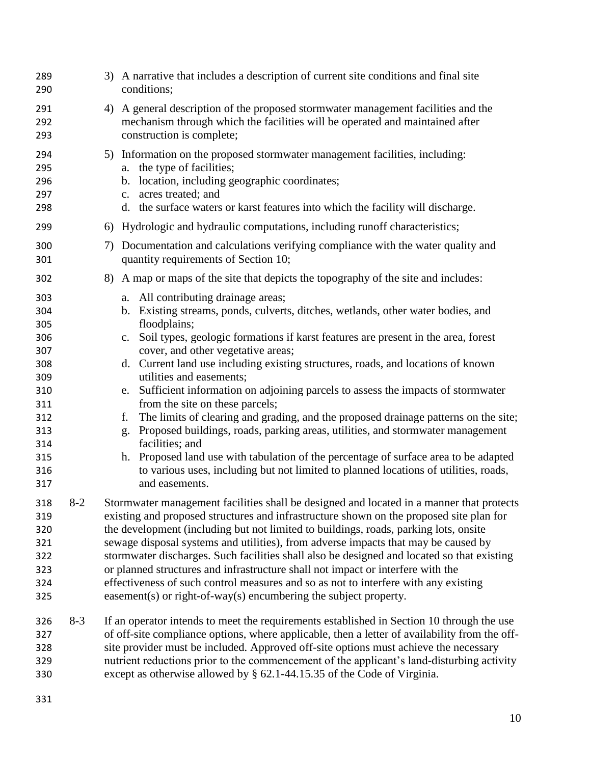| 289<br>290                                                                                            |         | 3) A narrative that includes a description of current site conditions and final site<br>conditions;                                                                                                                                                                                                                                                                                                                                                                                                                                                                                                                                                                                                                                                                                                                                                                                                                               |
|-------------------------------------------------------------------------------------------------------|---------|-----------------------------------------------------------------------------------------------------------------------------------------------------------------------------------------------------------------------------------------------------------------------------------------------------------------------------------------------------------------------------------------------------------------------------------------------------------------------------------------------------------------------------------------------------------------------------------------------------------------------------------------------------------------------------------------------------------------------------------------------------------------------------------------------------------------------------------------------------------------------------------------------------------------------------------|
| 291<br>292<br>293                                                                                     |         | 4) A general description of the proposed stormwater management facilities and the<br>mechanism through which the facilities will be operated and maintained after<br>construction is complete;                                                                                                                                                                                                                                                                                                                                                                                                                                                                                                                                                                                                                                                                                                                                    |
| 294<br>295<br>296<br>297<br>298                                                                       |         | 5) Information on the proposed stormwater management facilities, including:<br>a. the type of facilities;<br>location, including geographic coordinates;<br>$\mathbf{b}$ .<br>acres treated; and<br>c.<br>d. the surface waters or karst features into which the facility will discharge.                                                                                                                                                                                                                                                                                                                                                                                                                                                                                                                                                                                                                                         |
| 299                                                                                                   |         | 6) Hydrologic and hydraulic computations, including runoff characteristics;                                                                                                                                                                                                                                                                                                                                                                                                                                                                                                                                                                                                                                                                                                                                                                                                                                                       |
| 300<br>301                                                                                            |         | 7) Documentation and calculations verifying compliance with the water quality and<br>quantity requirements of Section 10;                                                                                                                                                                                                                                                                                                                                                                                                                                                                                                                                                                                                                                                                                                                                                                                                         |
| 302                                                                                                   |         | 8) A map or maps of the site that depicts the topography of the site and includes:                                                                                                                                                                                                                                                                                                                                                                                                                                                                                                                                                                                                                                                                                                                                                                                                                                                |
| 303<br>304<br>305<br>306<br>307<br>308<br>309<br>310<br>311<br>312<br>313<br>314<br>315<br>316<br>317 |         | a. All contributing drainage areas;<br>Existing streams, ponds, culverts, ditches, wetlands, other water bodies, and<br>b.<br>floodplains;<br>c. Soil types, geologic formations if karst features are present in the area, forest<br>cover, and other vegetative areas;<br>d. Current land use including existing structures, roads, and locations of known<br>utilities and easements;<br>Sufficient information on adjoining parcels to assess the impacts of stormwater<br>e.<br>from the site on these parcels;<br>The limits of clearing and grading, and the proposed drainage patterns on the site;<br>f.<br>Proposed buildings, roads, parking areas, utilities, and stormwater management<br>g.<br>facilities; and<br>Proposed land use with tabulation of the percentage of surface area to be adapted<br>h.<br>to various uses, including but not limited to planned locations of utilities, roads,<br>and easements. |
| 318<br>319<br>320<br>321<br>322<br>323<br>324<br>325                                                  | $8 - 2$ | Stormwater management facilities shall be designed and located in a manner that protects<br>existing and proposed structures and infrastructure shown on the proposed site plan for<br>the development (including but not limited to buildings, roads, parking lots, onsite<br>sewage disposal systems and utilities), from adverse impacts that may be caused by<br>stormwater discharges. Such facilities shall also be designed and located so that existing<br>or planned structures and infrastructure shall not impact or interfere with the<br>effectiveness of such control measures and so as not to interfere with any existing<br>easement(s) or right-of-way(s) encumbering the subject property.                                                                                                                                                                                                                     |
| 326<br>327<br>328<br>329<br>330                                                                       | $8-3$   | If an operator intends to meet the requirements established in Section 10 through the use<br>of off-site compliance options, where applicable, then a letter of availability from the off-<br>site provider must be included. Approved off-site options must achieve the necessary<br>nutrient reductions prior to the commencement of the applicant's land-disturbing activity<br>except as otherwise allowed by § 62.1-44.15.35 of the Code of Virginia.                                                                                                                                                                                                                                                                                                                                                                                                                                                                        |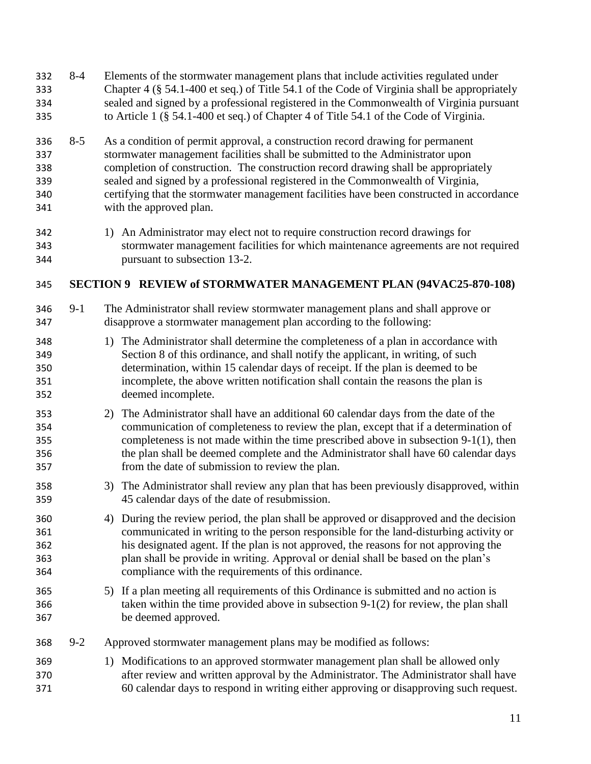<span id="page-11-0"></span> 8-4 Elements of the stormwater management plans that include activities regulated under Chapter 4 (§ 54.1-400 et seq.) of Title 54.1 of the Code of Virginia shall be appropriately sealed and signed by a professional registered in the Commonwealth of Virginia pursuant to Article 1 (§ 54.1-400 et seq.) of Chapter 4 of Title 54.1 of the Code of Virginia. 8-5 As a condition of permit approval, a construction record drawing for permanent stormwater management facilities shall be submitted to the Administrator upon completion of construction. The construction record drawing shall be appropriately sealed and signed by a professional registered in the Commonwealth of Virginia, certifying that the stormwater management facilities have been constructed in accordance with the approved plan. 1) An Administrator may elect not to require construction record drawings for stormwater management facilities for which maintenance agreements are not required pursuant to subsection 13-2. **SECTION 9 REVIEW of STORMWATER MANAGEMENT PLAN (94VAC25-870-108)** 9-1 The Administrator shall review stormwater management plans and shall approve or disapprove a stormwater management plan according to the following: 1) The Administrator shall determine the completeness of a plan in accordance with Section 8 of this ordinance, and shall notify the applicant, in writing, of such determination, within 15 calendar days of receipt. If the plan is deemed to be incomplete, the above written notification shall contain the reasons the plan is deemed incomplete. 2) The Administrator shall have an additional 60 calendar days from the date of the communication of completeness to review the plan, except that if a determination of completeness is not made within the time prescribed above in subsection 9-1(1), then the plan shall be deemed complete and the Administrator shall have 60 calendar days from the date of submission to review the plan. 3) The Administrator shall review any plan that has been previously disapproved, within 45 calendar days of the date of resubmission. 4) During the review period, the plan shall be approved or disapproved and the decision communicated in writing to the person responsible for the land-disturbing activity or his designated agent. If the plan is not approved, the reasons for not approving the plan shall be provide in writing. Approval or denial shall be based on the plan's compliance with the requirements of this ordinance. 5) If a plan meeting all requirements of this Ordinance is submitted and no action is taken within the time provided above in subsection 9-1(2) for review, the plan shall be deemed approved. 9-2 Approved stormwater management plans may be modified as follows: 1) Modifications to an approved stormwater management plan shall be allowed only after review and written approval by the Administrator. The Administrator shall have 60 calendar days to respond in writing either approving or disapproving such request.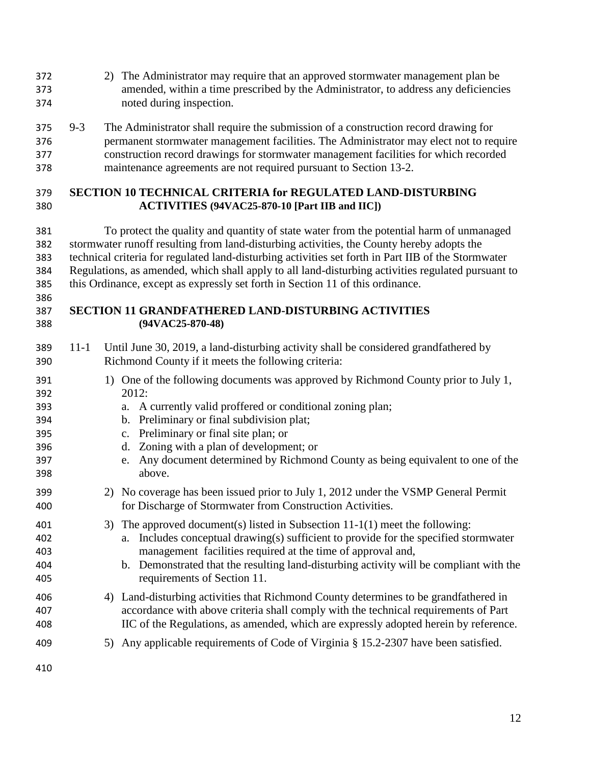- 2) The Administrator may require that an approved stormwater management plan be amended, within a time prescribed by the Administrator, to address any deficiencies noted during inspection.
- 9-3 The Administrator shall require the submission of a construction record drawing for permanent stormwater management facilities. The Administrator may elect not to require construction record drawings for stormwater management facilities for which recorded maintenance agreements are not required pursuant to Section 13-2.

#### <span id="page-12-0"></span> **SECTION 10 TECHNICAL CRITERIA for REGULATED LAND-DISTURBING ACTIVITIES (94VAC25-870-10 [Part IIB and IIC])**

 To protect the quality and quantity of state water from the potential harm of unmanaged stormwater runoff resulting from land-disturbing activities, the County hereby adopts the technical criteria for regulated land-disturbing activities set forth in Part IIB of the Stormwater Regulations, as amended, which shall apply to all land-disturbing activities regulated pursuant to this Ordinance, except as expressly set forth in Section 11 of this ordinance.

#### <span id="page-12-1"></span> **SECTION 11 GRANDFATHERED LAND-DISTURBING ACTIVITIES (94VAC25-870-48)**

- 11-1 Until June 30, 2019, a land-disturbing activity shall be considered grandfathered by Richmond County if it meets the following criteria:
- 391 1) One of the following documents was approved by Richmond County prior to July 1, 2012:
- a. A currently valid proffered or conditional zoning plan;
- b. Preliminary or final subdivision plat;
- c. Preliminary or final site plan; or
- d. Zoning with a plan of development; or
- e. Any document determined by Richmond County as being equivalent to one of the above.
- 2) No coverage has been issued prior to July 1, 2012 under the VSMP General Permit for Discharge of Stormwater from Construction Activities.
- 3) The approved document(s) listed in Subsection 11-1(1) meet the following: a. Includes conceptual drawing(s) sufficient to provide for the specified stormwater management facilities required at the time of approval and,
- b. Demonstrated that the resulting land-disturbing activity will be compliant with the requirements of Section 11.
- 4) Land-disturbing activities that Richmond County determines to be grandfathered in accordance with above criteria shall comply with the technical requirements of Part IIC of the Regulations, as amended, which are expressly adopted herein by reference.
- 5) Any applicable requirements of Code of Virginia § 15.2-2307 have been satisfied.
-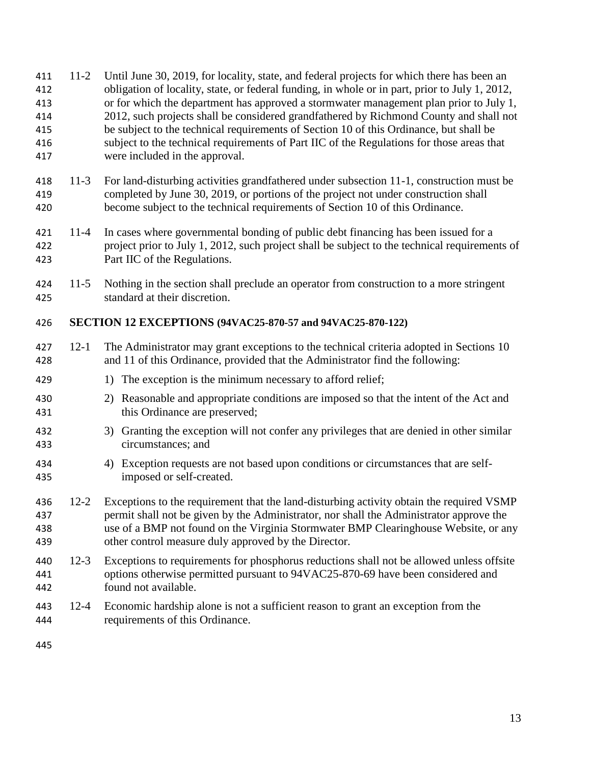<span id="page-13-1"></span><span id="page-13-0"></span>

| 411<br>412<br>413<br>414<br>415<br>416<br>417 | $11-2$   | Until June 30, 2019, for locality, state, and federal projects for which there has been an<br>obligation of locality, state, or federal funding, in whole or in part, prior to July 1, 2012,<br>or for which the department has approved a stormwater management plan prior to July 1,<br>2012, such projects shall be considered grandfathered by Richmond County and shall not<br>be subject to the technical requirements of Section 10 of this Ordinance, but shall be<br>subject to the technical requirements of Part IIC of the Regulations for those areas that<br>were included in the approval. |
|-----------------------------------------------|----------|-----------------------------------------------------------------------------------------------------------------------------------------------------------------------------------------------------------------------------------------------------------------------------------------------------------------------------------------------------------------------------------------------------------------------------------------------------------------------------------------------------------------------------------------------------------------------------------------------------------|
| 418<br>419<br>420                             | $11-3$   | For land-disturbing activities grandfathered under subsection 11-1, construction must be<br>completed by June 30, 2019, or portions of the project not under construction shall<br>become subject to the technical requirements of Section 10 of this Ordinance.                                                                                                                                                                                                                                                                                                                                          |
| 421<br>422<br>423                             | $11 - 4$ | In cases where governmental bonding of public debt financing has been issued for a<br>project prior to July 1, 2012, such project shall be subject to the technical requirements of<br>Part IIC of the Regulations.                                                                                                                                                                                                                                                                                                                                                                                       |
| 424<br>425                                    | $11-5$   | Nothing in the section shall preclude an operator from construction to a more stringent<br>standard at their discretion.                                                                                                                                                                                                                                                                                                                                                                                                                                                                                  |
| 426                                           |          | SECTION 12 EXCEPTIONS (94VAC25-870-57 and 94VAC25-870-122)                                                                                                                                                                                                                                                                                                                                                                                                                                                                                                                                                |
| 427<br>428                                    | $12 - 1$ | The Administrator may grant exceptions to the technical criteria adopted in Sections 10<br>and 11 of this Ordinance, provided that the Administrator find the following:                                                                                                                                                                                                                                                                                                                                                                                                                                  |
| 429                                           |          | 1) The exception is the minimum necessary to afford relief;                                                                                                                                                                                                                                                                                                                                                                                                                                                                                                                                               |
| 430<br>431                                    |          | 2) Reasonable and appropriate conditions are imposed so that the intent of the Act and<br>this Ordinance are preserved;                                                                                                                                                                                                                                                                                                                                                                                                                                                                                   |
| 432<br>433                                    |          | 3) Granting the exception will not confer any privileges that are denied in other similar<br>circumstances; and                                                                                                                                                                                                                                                                                                                                                                                                                                                                                           |
| 434<br>435                                    |          | 4) Exception requests are not based upon conditions or circumstances that are self-<br>imposed or self-created.                                                                                                                                                                                                                                                                                                                                                                                                                                                                                           |
| 436<br>437<br>438<br>439                      |          | 12-2 Exceptions to the requirement that the land-disturbing activity obtain the required VSMP<br>permit shall not be given by the Administrator, nor shall the Administrator approve the<br>use of a BMP not found on the Virginia Stormwater BMP Clearinghouse Website, or any<br>other control measure duly approved by the Director.                                                                                                                                                                                                                                                                   |
| 440<br>441<br>442                             | $12-3$   | Exceptions to requirements for phosphorus reductions shall not be allowed unless offsite<br>options otherwise permitted pursuant to 94VAC25-870-69 have been considered and<br>found not available.                                                                                                                                                                                                                                                                                                                                                                                                       |
| 443<br>444                                    | $12 - 4$ | Economic hardship alone is not a sufficient reason to grant an exception from the<br>requirements of this Ordinance.                                                                                                                                                                                                                                                                                                                                                                                                                                                                                      |
| 445                                           |          |                                                                                                                                                                                                                                                                                                                                                                                                                                                                                                                                                                                                           |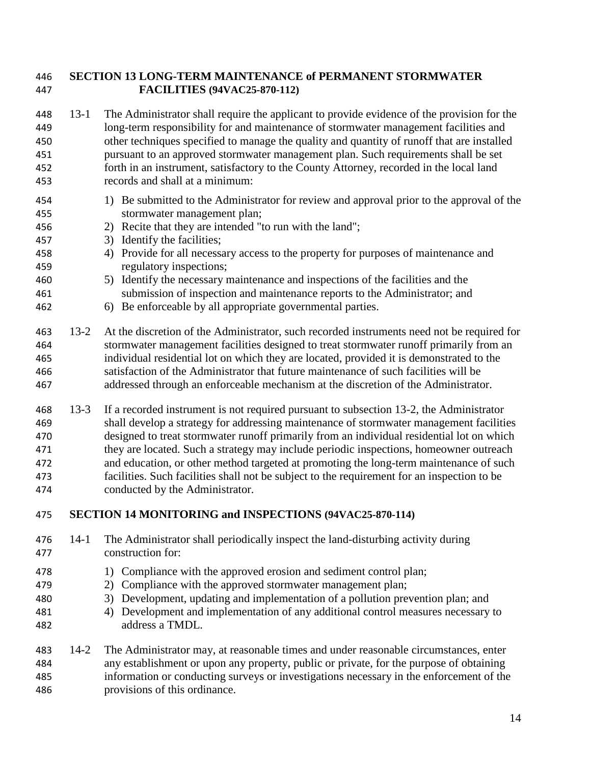#### **SECTION 13 LONG-TERM MAINTENANCE of PERMANENT STORMWATER FACILITIES (94VAC25-870-112)**

- 13-1 The Administrator shall require the applicant to provide evidence of the provision for the long-term responsibility for and maintenance of stormwater management facilities and other techniques specified to manage the quality and quantity of runoff that are installed pursuant to an approved stormwater management plan. Such requirements shall be set forth in an instrument, satisfactory to the County Attorney, recorded in the local land records and shall at a minimum:
- 1) Be submitted to the Administrator for review and approval prior to the approval of the stormwater management plan;
- 2) Recite that they are intended "to run with the land";
- 3) Identify the facilities;
- 4) Provide for all necessary access to the property for purposes of maintenance and regulatory inspections;
- 5) Identify the necessary maintenance and inspections of the facilities and the submission of inspection and maintenance reports to the Administrator; and
- 6) Be enforceable by all appropriate governmental parties.
- 13-2 At the discretion of the Administrator, such recorded instruments need not be required for stormwater management facilities designed to treat stormwater runoff primarily from an individual residential lot on which they are located, provided it is demonstrated to the satisfaction of the Administrator that future maintenance of such facilities will be addressed through an enforceable mechanism at the discretion of the Administrator.
- 13-3 If a recorded instrument is not required pursuant to subsection 13-2, the Administrator shall develop a strategy for addressing maintenance of stormwater management facilities designed to treat stormwater runoff primarily from an individual residential lot on which they are located. Such a strategy may include periodic inspections, homeowner outreach and education, or other method targeted at promoting the long-term maintenance of such facilities. Such facilities shall not be subject to the requirement for an inspection to be conducted by the Administrator.
- <span id="page-14-0"></span>**SECTION 14 MONITORING and INSPECTIONS (94VAC25-870-114)**
- 14-1 The Administrator shall periodically inspect the land-disturbing activity during construction for:
- 478 1) Compliance with the approved erosion and sediment control plan;
- 2) Compliance with the approved stormwater management plan;
- 3) Development, updating and implementation of a pollution prevention plan; and
- 4) Development and implementation of any additional control measures necessary to address a TMDL.
- 14-2 The Administrator may, at reasonable times and under reasonable circumstances, enter any establishment or upon any property, public or private, for the purpose of obtaining information or conducting surveys or investigations necessary in the enforcement of the provisions of this ordinance.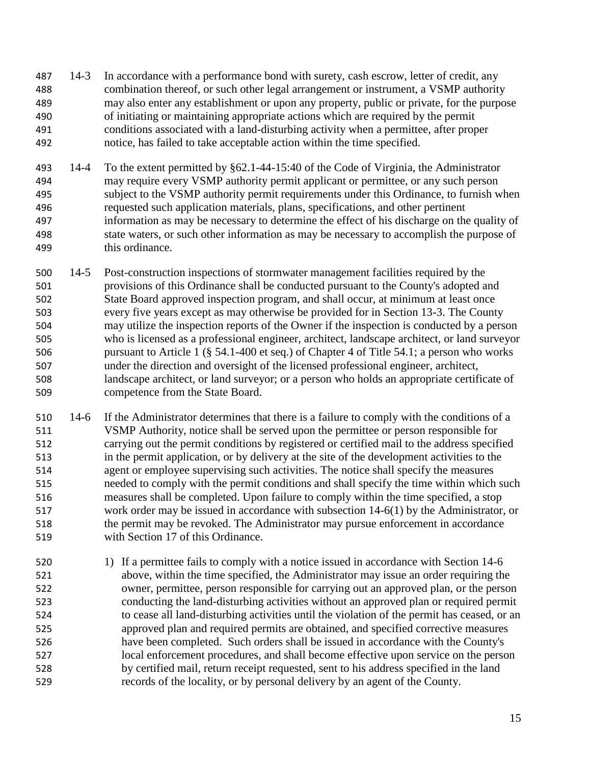14-3 In accordance with a performance bond with surety, cash escrow, letter of credit, any combination thereof, or such other legal arrangement or instrument, a VSMP authority may also enter any establishment or upon any property, public or private, for the purpose of initiating or maintaining appropriate actions which are required by the permit conditions associated with a land-disturbing activity when a permittee, after proper notice, has failed to take acceptable action within the time specified.

- 14-4 To the extent permitted by §62.1-44-15:40 of the Code of Virginia, the Administrator may require every VSMP authority permit applicant or permittee, or any such person subject to the VSMP authority permit requirements under this Ordinance, to furnish when requested such application materials, plans, specifications, and other pertinent information as may be necessary to determine the effect of his discharge on the quality of state waters, or such other information as may be necessary to accomplish the purpose of this ordinance.
- 14-5 Post-construction inspections of stormwater management facilities required by the provisions of this Ordinance shall be conducted pursuant to the County's adopted and State Board approved inspection program, and shall occur, at minimum at least once every five years except as may otherwise be provided for in Section 13-3. The County may utilize the inspection reports of the Owner if the inspection is conducted by a person who is licensed as a professional engineer, architect, landscape architect, or land surveyor pursuant to Article 1 (§ 54.1-400 et seq.) of Chapter 4 of Title 54.1; a person who works under the direction and oversight of the licensed professional engineer, architect, landscape architect, or land surveyor; or a person who holds an appropriate certificate of competence from the State Board.
- 14-6 If the Administrator determines that there is a failure to comply with the conditions of a VSMP Authority, notice shall be served upon the permittee or person responsible for carrying out the permit conditions by registered or certified mail to the address specified in the permit application, or by delivery at the site of the development activities to the agent or employee supervising such activities. The notice shall specify the measures needed to comply with the permit conditions and shall specify the time within which such measures shall be completed. Upon failure to comply within the time specified, a stop work order may be issued in accordance with subsection 14-6(1) by the Administrator, or the permit may be revoked. The Administrator may pursue enforcement in accordance with Section 17 of this Ordinance.
- 520 1) If a permittee fails to comply with a notice issued in accordance with Section 14-6 above, within the time specified, the Administrator may issue an order requiring the owner, permittee, person responsible for carrying out an approved plan, or the person conducting the land-disturbing activities without an approved plan or required permit to cease all land-disturbing activities until the violation of the permit has ceased, or an approved plan and required permits are obtained, and specified corrective measures have been completed. Such orders shall be issued in accordance with the County's local enforcement procedures, and shall become effective upon service on the person by certified mail, return receipt requested, sent to his address specified in the land records of the locality, or by personal delivery by an agent of the County.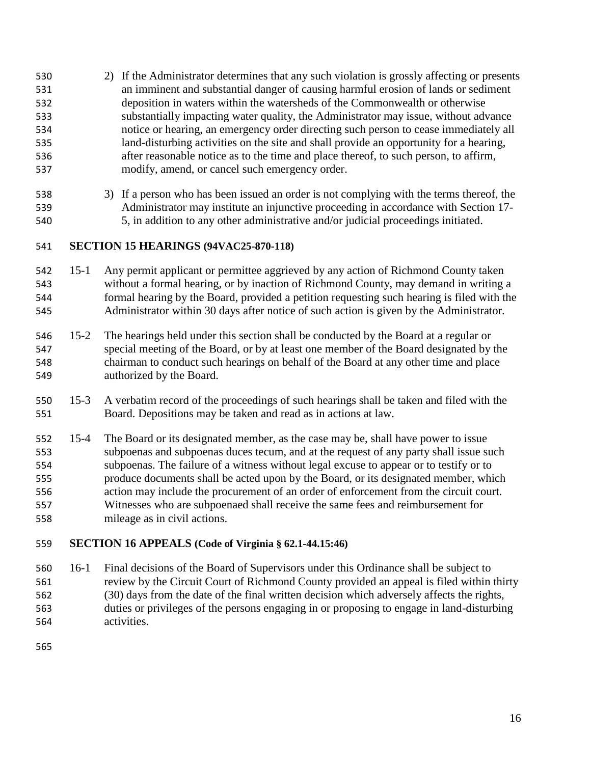- 2) If the Administrator determines that any such violation is grossly affecting or presents an imminent and substantial danger of causing harmful erosion of lands or sediment deposition in waters within the watersheds of the Commonwealth or otherwise substantially impacting water quality, the Administrator may issue, without advance notice or hearing, an emergency order directing such person to cease immediately all land-disturbing activities on the site and shall provide an opportunity for a hearing, after reasonable notice as to the time and place thereof, to such person, to affirm, modify, amend, or cancel such emergency order.
- 3) If a person who has been issued an order is not complying with the terms thereof, the Administrator may institute an injunctive proceeding in accordance with Section 17- 5, in addition to any other administrative and/or judicial proceedings initiated.

#### <span id="page-16-0"></span>**SECTION 15 HEARINGS (94VAC25-870-118)**

- 15-1 Any permit applicant or permittee aggrieved by any action of Richmond County taken without a formal hearing, or by inaction of Richmond County, may demand in writing a formal hearing by the Board, provided a petition requesting such hearing is filed with the Administrator within 30 days after notice of such action is given by the Administrator.
- 15-2 The hearings held under this section shall be conducted by the Board at a regular or special meeting of the Board, or by at least one member of the Board designated by the chairman to conduct such hearings on behalf of the Board at any other time and place authorized by the Board.
- 15-3 A verbatim record of the proceedings of such hearings shall be taken and filed with the Board. Depositions may be taken and read as in actions at law.
- 15-4 The Board or its designated member, as the case may be, shall have power to issue subpoenas and subpoenas duces tecum, and at the request of any party shall issue such subpoenas. The failure of a witness without legal excuse to appear or to testify or to produce documents shall be acted upon by the Board, or its designated member, which action may include the procurement of an order of enforcement from the circuit court. Witnesses who are subpoenaed shall receive the same fees and reimbursement for mileage as in civil actions.

#### <span id="page-16-1"></span>**SECTION 16 APPEALS (Code of Virginia § 62.1-44.15:46)**

 16-1 Final decisions of the Board of Supervisors under this Ordinance shall be subject to review by the Circuit Court of Richmond County provided an appeal is filed within thirty (30) days from the date of the final written decision which adversely affects the rights, duties or privileges of the persons engaging in or proposing to engage in land-disturbing activities.

<span id="page-16-2"></span>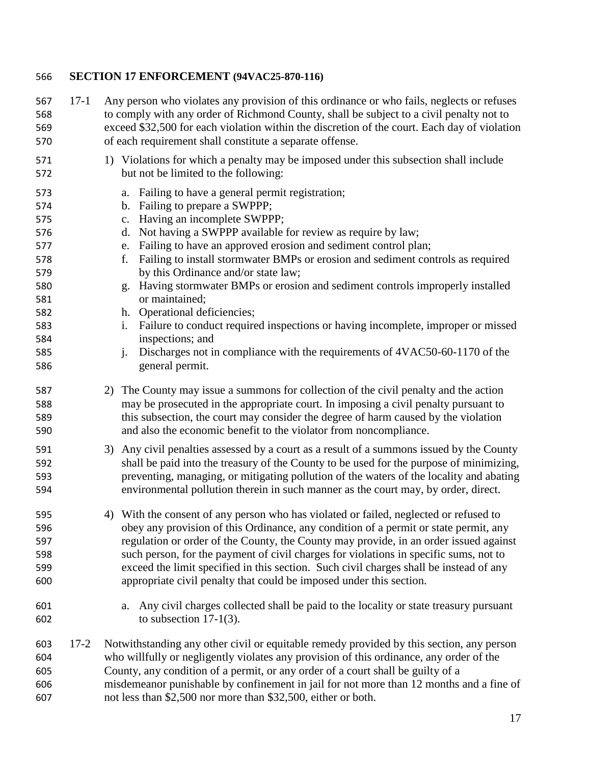#### **SECTION 17 ENFORCEMENT (94VAC25-870-116)**

 17-1 Any person who violates any provision of this ordinance or who fails, neglects or refuses to comply with any order of Richmond County, shall be subject to a civil penalty not to exceed \$32,500 for each violation within the discretion of the court. Each day of violation of each requirement shall constitute a separate offense. 1) Violations for which a penalty may be imposed under this subsection shall include but not be limited to the following: a. Failing to have a general permit registration; b. Failing to prepare a SWPPP; c. Having an incomplete SWPPP; d. Not having a SWPPP available for review as require by law; e. Failing to have an approved erosion and sediment control plan; f. Failing to install stormwater BMPs or erosion and sediment controls as required by this Ordinance and/or state law; g. Having stormwater BMPs or erosion and sediment controls improperly installed or maintained; h. Operational deficiencies; i. Failure to conduct required inspections or having incomplete, improper or missed inspections; and j. Discharges not in compliance with the requirements of 4VAC50-60-1170 of the general permit. 2) The County may issue a summons for collection of the civil penalty and the action may be prosecuted in the appropriate court. In imposing a civil penalty pursuant to this subsection, the court may consider the degree of harm caused by the violation and also the economic benefit to the violator from noncompliance. 3) Any civil penalties assessed by a court as a result of a summons issued by the County shall be paid into the treasury of the County to be used for the purpose of minimizing, preventing, managing, or mitigating pollution of the waters of the locality and abating environmental pollution therein in such manner as the court may, by order, direct. 4) With the consent of any person who has violated or failed, neglected or refused to obey any provision of this Ordinance, any condition of a permit or state permit, any regulation or order of the County, the County may provide, in an order issued against such person, for the payment of civil charges for violations in specific sums, not to exceed the limit specified in this section. Such civil charges shall be instead of any appropriate civil penalty that could be imposed under this section. a. Any civil charges collected shall be paid to the locality or state treasury pursuant to subsection 17-1(3). 17-2 Notwithstanding any other civil or equitable remedy provided by this section, any person who willfully or negligently violates any provision of this ordinance, any order of the County, any condition of a permit, or any order of a court shall be guilty of a misdemeanor punishable by confinement in jail for not more than 12 months and a fine of not less than \$2,500 nor more than \$32,500, either or both.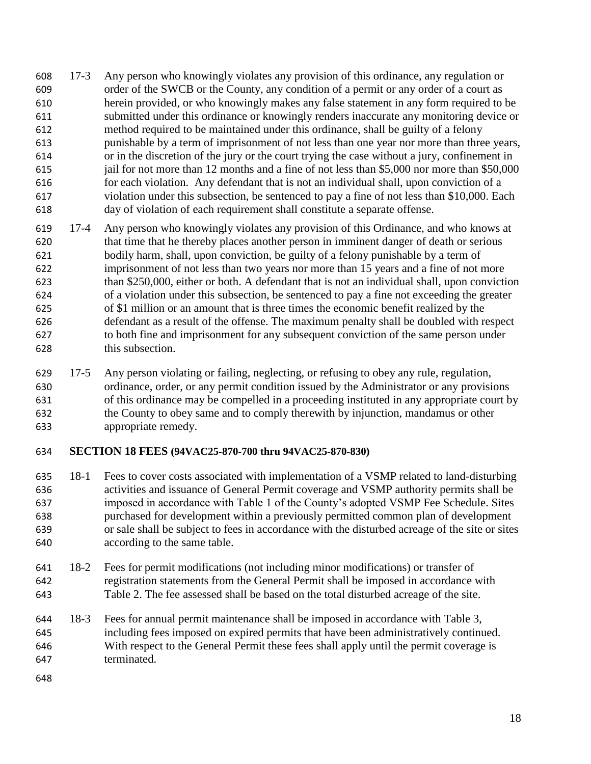- 17-3 Any person who knowingly violates any provision of this ordinance, any regulation or order of the SWCB or the County, any condition of a permit or any order of a court as herein provided, or who knowingly makes any false statement in any form required to be submitted under this ordinance or knowingly renders inaccurate any monitoring device or method required to be maintained under this ordinance, shall be guilty of a felony punishable by a term of imprisonment of not less than one year nor more than three years, or in the discretion of the jury or the court trying the case without a jury, confinement in jail for not more than 12 months and a fine of not less than \$5,000 nor more than \$50,000 for each violation. Any defendant that is not an individual shall, upon conviction of a violation under this subsection, be sentenced to pay a fine of not less than \$10,000. Each day of violation of each requirement shall constitute a separate offense.
- 17-4 Any person who knowingly violates any provision of this Ordinance, and who knows at that time that he thereby places another person in imminent danger of death or serious bodily harm, shall, upon conviction, be guilty of a felony punishable by a term of imprisonment of not less than two years nor more than 15 years and a fine of not more than \$250,000, either or both. A defendant that is not an individual shall, upon conviction of a violation under this subsection, be sentenced to pay a fine not exceeding the greater of \$1 million or an amount that is three times the economic benefit realized by the defendant as a result of the offense. The maximum penalty shall be doubled with respect to both fine and imprisonment for any subsequent conviction of the same person under this subsection.
- 17-5 Any person violating or failing, neglecting, or refusing to obey any rule, regulation, ordinance, order, or any permit condition issued by the Administrator or any provisions of this ordinance may be compelled in a proceeding instituted in any appropriate court by the County to obey same and to comply therewith by injunction, mandamus or other appropriate remedy.

#### <span id="page-18-0"></span>**SECTION 18 FEES (94VAC25-870-700 thru 94VAC25-870-830)**

- 18-1 Fees to cover costs associated with implementation of a VSMP related to land-disturbing activities and issuance of General Permit coverage and VSMP authority permits shall be imposed in accordance with Table 1 of the County's adopted VSMP Fee Schedule. Sites purchased for development within a previously permitted common plan of development or sale shall be subject to fees in accordance with the disturbed acreage of the site or sites according to the same table.
- 18-2 Fees for permit modifications (not including minor modifications) or transfer of registration statements from the General Permit shall be imposed in accordance with Table 2. The fee assessed shall be based on the total disturbed acreage of the site.
- 18-3 Fees for annual permit maintenance shall be imposed in accordance with Table 3, including fees imposed on expired permits that have been administratively continued. With respect to the General Permit these fees shall apply until the permit coverage is terminated.
-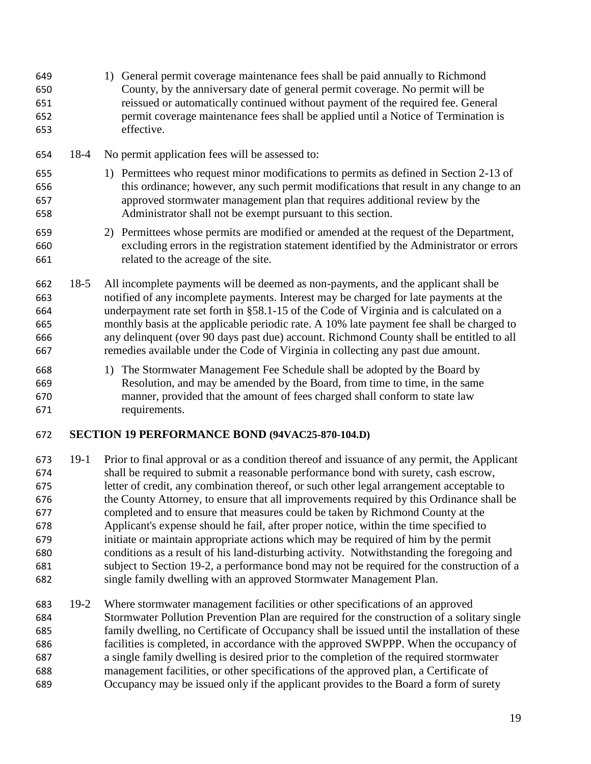- 1) General permit coverage maintenance fees shall be paid annually to Richmond County, by the anniversary date of general permit coverage. No permit will be reissued or automatically continued without payment of the required fee. General permit coverage maintenance fees shall be applied until a Notice of Termination is effective.
- 18-4 No permit application fees will be assessed to:
- 1) Permittees who request minor modifications to permits as defined in Section 2-13 of this ordinance; however, any such permit modifications that result in any change to an approved stormwater management plan that requires additional review by the Administrator shall not be exempt pursuant to this section.
- 2) Permittees whose permits are modified or amended at the request of the Department, excluding errors in the registration statement identified by the Administrator or errors related to the acreage of the site.
- 18-5 All incomplete payments will be deemed as non-payments, and the applicant shall be notified of any incomplete payments. Interest may be charged for late payments at the underpayment rate set forth in §58.1-15 of the Code of Virginia and is calculated on a monthly basis at the applicable periodic rate. A 10% late payment fee shall be charged to any delinquent (over 90 days past due) account. Richmond County shall be entitled to all remedies available under the Code of Virginia in collecting any past due amount.
- 1) The Stormwater Management Fee Schedule shall be adopted by the Board by Resolution, and may be amended by the Board, from time to time, in the same manner, provided that the amount of fees charged shall conform to state law requirements.

#### <span id="page-19-0"></span>**SECTION 19 PERFORMANCE BOND (94VAC25-870-104.D)**

- 19-1 Prior to final approval or as a condition thereof and issuance of any permit, the Applicant shall be required to submit a reasonable performance bond with surety, cash escrow, letter of credit, any combination thereof, or such other legal arrangement acceptable to the County Attorney, to ensure that all improvements required by this Ordinance shall be completed and to ensure that measures could be taken by Richmond County at the Applicant's expense should he fail, after proper notice, within the time specified to initiate or maintain appropriate actions which may be required of him by the permit conditions as a result of his land-disturbing activity. Notwithstanding the foregoing and subject to Section 19-2, a performance bond may not be required for the construction of a single family dwelling with an approved Stormwater Management Plan.
- 19-2 Where stormwater management facilities or other specifications of an approved Stormwater Pollution Prevention Plan are required for the construction of a solitary single family dwelling, no Certificate of Occupancy shall be issued until the installation of these facilities is completed, in accordance with the approved SWPPP. When the occupancy of a single family dwelling is desired prior to the completion of the required stormwater management facilities, or other specifications of the approved plan, a Certificate of Occupancy may be issued only if the applicant provides to the Board a form of surety